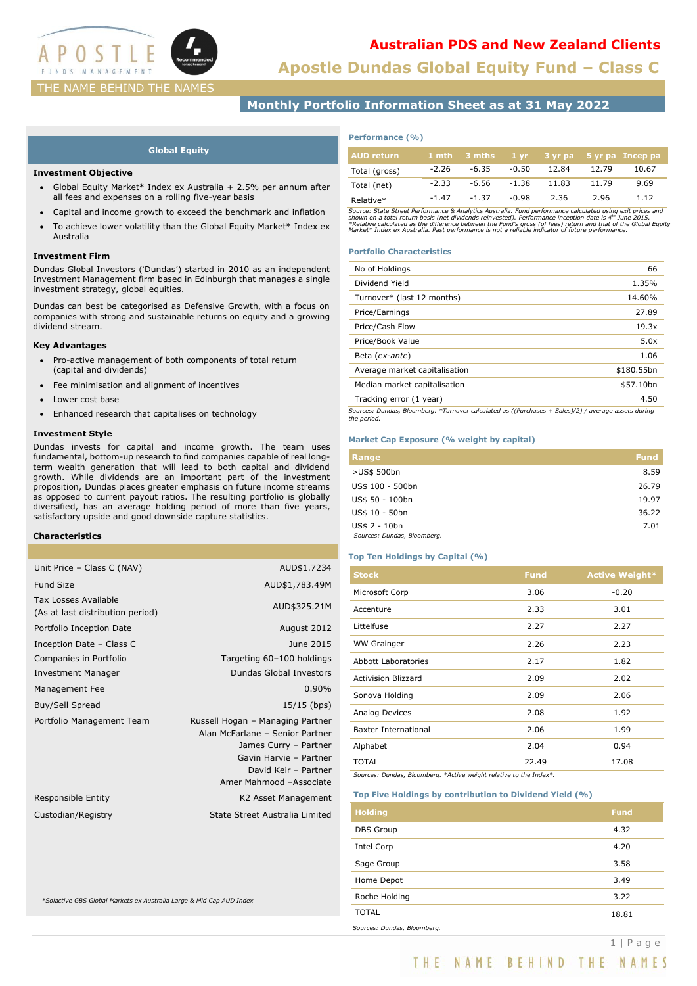

# **Apostle Dundas Global Equity Fund – Class C Australian PDS and New Zealand Clients**

# **Monthly Portfolio Information Sheet as at 31 May 2022**

## **Global Equity**

### **Investment Objective**

- Global Equity Market\* Index ex Australia + 2.5% per annum after all fees and expenses on a rolling five-year basis
- Capital and income growth to exceed the benchmark and inflation
- To achieve lower volatility than the Global Equity Market\* Index ex Australia

### **Investment Firm**

Dundas Global Investors ('Dundas') started in 2010 as an independent Investment Management firm based in Edinburgh that manages a single investment strategy, global equities.

Dundas can best be categorised as Defensive Growth, with a focus on companies with strong and sustainable returns on equity and a growing dividend stream.

### **Key Advantages**

- Pro-active management of both components of total return (capital and dividends)
- Fee minimisation and alignment of incentives
- Lower cost base
- Enhanced research that capitalises on technology

### **Investment Style**

Dundas invests for capital and income growth. The team uses fundamental, bottom-up research to find companies capable of real longterm wealth generation that will lead to both capital and dividend growth. While dividends are an important part of the investment proposition, Dundas places greater emphasis on future income streams as opposed to current payout ratios. The resulting portfolio is globally diversified, has an average holding period of more than five years, satisfactory upside and good downside capture statistics.

### **Characteristics**

| Unit Price - Class C (NAV)                               | AUD\$1.7234                                                                                                                                                               |
|----------------------------------------------------------|---------------------------------------------------------------------------------------------------------------------------------------------------------------------------|
| <b>Fund Size</b>                                         | AUD\$1,783.49M                                                                                                                                                            |
| Tax Losses Available<br>(As at last distribution period) | AUD\$325.21M                                                                                                                                                              |
| Portfolio Inception Date                                 | August 2012                                                                                                                                                               |
| Inception Date - Class C                                 | June 2015                                                                                                                                                                 |
| Companies in Portfolio                                   | Targeting 60-100 holdings                                                                                                                                                 |
| Investment Manager                                       | Dundas Global Investors                                                                                                                                                   |
| Management Fee                                           | $0.90\%$                                                                                                                                                                  |
| Buy/Sell Spread                                          | $15/15$ (bps)                                                                                                                                                             |
| Portfolio Management Team                                | Russell Hogan - Managing Partner<br>Alan McFarlane - Senior Partner<br>James Curry - Partner<br>Gavin Harvie - Partner<br>David Keir - Partner<br>Amer Mahmood -Associate |
| Responsible Entity                                       | K2 Asset Management                                                                                                                                                       |
| Custodian/Registry                                       | State Street Australia Limited                                                                                                                                            |
|                                                          |                                                                                                                                                                           |

*\*Solactive GBS Global Markets ex Australia Large & Mid Cap AUD Index*

### **Performance (%)**

| <b>AUD</b> return |         | 1 mth 3 mths 1 yr 3 yr pa 5 yr pa Incep pa |         |       |       |       |
|-------------------|---------|--------------------------------------------|---------|-------|-------|-------|
| Total (gross)     | $-2.26$ | -6.35                                      | -0.50   | 12.84 | 12.79 | 10.67 |
| Total (net)       | $-2.33$ | -6.56                                      | $-1.38$ | 11.83 | 11.79 | 9.69  |
| Relative*         | $-1.47$ | $-1.37$                                    | $-0.98$ | 2.36  | 2.96  | 1.12  |

Source: State Street Performance & Analytics Australia. Fund performance calculated using exit prices and<br>shown on a total return basis (net dividends reinvested). Performance inception date is 4<sup>16</sup> June 2015.<br>\*Relative c

### **Portfolio Characteristics**

| No of Holdings                                                                                      | 66         |
|-----------------------------------------------------------------------------------------------------|------------|
| Dividend Yield                                                                                      | 1.35%      |
| Turnover* (last 12 months)                                                                          | 14.60%     |
| Price/Earnings                                                                                      | 27.89      |
| Price/Cash Flow                                                                                     | 19.3x      |
| Price/Book Value                                                                                    | 5.0x       |
| Beta (ex-ante)                                                                                      | 1.06       |
| Average market capitalisation                                                                       | \$180.55bn |
| Median market capitalisation                                                                        | \$57.10bn  |
| Tracking error (1 year)                                                                             | 4.50       |
| Cources: Dundas, Bloomberg, *Turnover calculated as ((Durchases + Sales)(2) / average assets during |            |

*Sources: Dundas, Bloomberg. \*Turnover calculated as ((Purchases + Sales)/2) / average assets during the period.*

## **Market Cap Exposure (% weight by capital)**

| Range                       | <b>Fund</b> |
|-----------------------------|-------------|
| >US\$ 500bn                 | 8.59        |
| US\$ 100 - 500bn            | 26.79       |
| US\$ 50 - 100bn             | 19.97       |
| US\$ 10 - 50bn              | 36.22       |
| US\$ 2 - 10bn               | 7.01        |
| Sources: Dundas, Bloomberg. |             |

### **Top Ten Holdings by Capital (%)**

| <b>Stock</b>               | <b>Fund</b> | <b>Active Weight*</b> |
|----------------------------|-------------|-----------------------|
| Microsoft Corp             | 3.06        | $-0.20$               |
| Accenture                  | 2.33        | 3.01                  |
| Littelfuse                 | 2.27        | 2.27                  |
| <b>WW Grainger</b>         | 2.26        | 2.23                  |
| <b>Abbott Laboratories</b> | 2.17        | 1.82                  |
| <b>Activision Blizzard</b> | 2.09        | 2.02                  |
| Sonova Holding             | 2.09        | 2.06                  |
| Analog Devices             | 2.08        | 1.92                  |
| Baxter International       | 2.06        | 1.99                  |
| Alphabet                   | 2.04        | 0.94                  |
| <b>TOTAL</b>               | 22.49       | 17.08                 |

*Sources: Dundas, Bloomberg. \*Active weight relative to the Index\*.*

### **Top Five Holdings by contribution to Dividend Yield (%)**

| <b>Holding</b>              | <b>Fund</b> |
|-----------------------------|-------------|
| <b>DBS Group</b>            | 4.32        |
| Intel Corp                  | 4.20        |
| Sage Group                  | 3.58        |
| Home Depot                  | 3.49        |
| Roche Holding               | 3.22        |
| <b>TOTAL</b>                | 18.81       |
| Sources: Dundas, Bloomberg. |             |

THE NAME BEHIND THE NAMES

1 | P a g e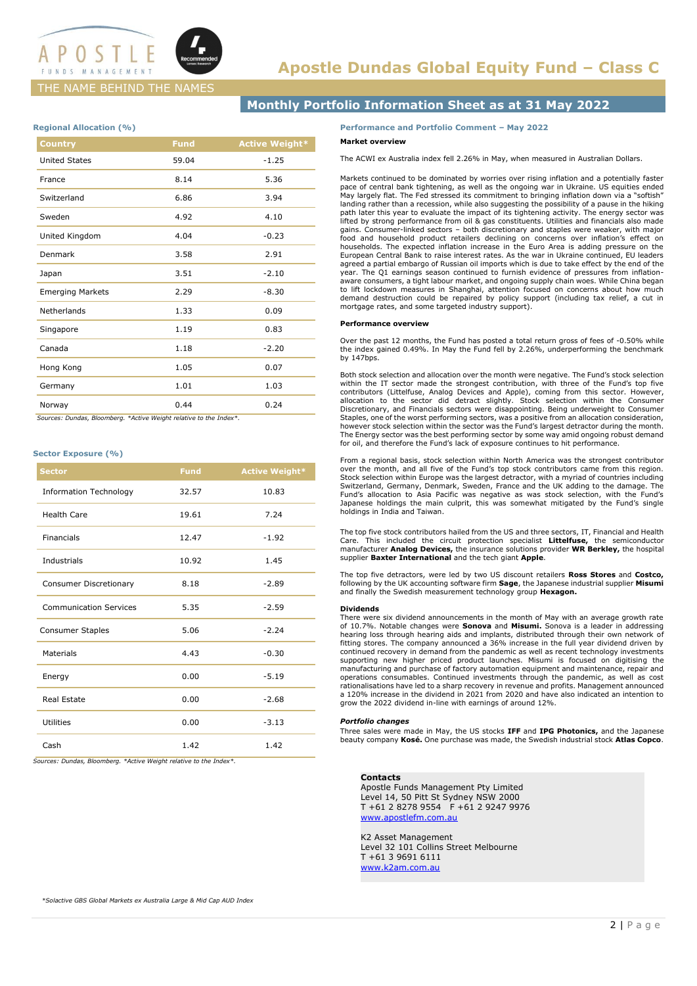

# THE NAME BEHIND THE NAMES

# **Monthly Portfolio Information Sheet as at 31 May 2022**

### **Regional Allocation (%)**

| Country                             | <b>Fund</b>      | <b>Active Weight*</b> |
|-------------------------------------|------------------|-----------------------|
| <b>United States</b>                | 59.04            | $-1.25$               |
| France                              | 8.14             | 5.36                  |
| Switzerland                         | 6.86             | 3.94                  |
| Sweden                              | 4.92             | 4.10                  |
| United Kingdom                      | 4.04             | $-0.23$               |
| Denmark                             | 3.58             | 2.91                  |
| Japan                               | 3.51             | $-2.10$               |
| <b>Emerging Markets</b>             | 2.29             | $-8.30$               |
| Netherlands                         | 1.33             | 0.09                  |
| Singapore                           | 1.19             | 0.83                  |
| Canada                              | 1.18             | $-2.20$               |
| Hong Kong                           | 1.05             | 0.07                  |
| Germany                             | 1.01             | 1.03                  |
| Norway<br>$\sim$<br>$16.44 \pm 1.4$ | 0.44<br>$\cdots$ | 0.24                  |

 *Sources: Dundas, Bloomberg. \*Active Weight relative to the Index\*.*

### **Sector Exposure (%)**

| <b>Sector</b>                 | <b>Fund</b> | <b>Active Weight*</b> |
|-------------------------------|-------------|-----------------------|
| <b>Information Technology</b> | 32.57       | 10.83                 |
| <b>Health Care</b>            | 19.61       | 7.24                  |
| <b>Financials</b>             | 12.47       | $-1.92$               |
| Industrials                   | 10.92       | 1.45                  |
| Consumer Discretionary        | 8.18        | $-2.89$               |
| <b>Communication Services</b> | 5.35        | $-2.59$               |
| <b>Consumer Staples</b>       | 5.06        | $-2.24$               |
| Materials                     | 4.43        | $-0.30$               |
| Energy                        | 0.00        | $-5.19$               |
| Real Estate                   | 0.00        | $-2.68$               |
| <b>Utilities</b>              | 0.00        | $-3.13$               |
| Cash                          | 1.42        | 1.42                  |

*Sources: Dundas, Bloomberg. \*Active Weight relative to the Index\*.*

### **Performance and Portfolio Comment – May 2022**

### **Market overview**

The ACWI ex Australia index fell 2.26% in May, when measured in Australian Dollars.

Markets continued to be dominated by worries over rising inflation and a potentially faster pace of central bank tightening, as well as the ongoing war in Ukraine. US equities ended May largely flat. The Fed stressed its commitment to bringing inflation down via a "softish" landing rather than a recession, while also suggesting the possibility of a pause in the hiking<br>path later this year to evaluate the impact of its tightening activity. The energy sector was<br>lifted by strong performance fro gains. Consumer-linked sectors – both discretionary and staples were weaker, with major food and household product retailers declining on concerns over inflation's effect on households. The expected inflation increase in the Euro Area is adding pressure on the European Central Bank to raise interest rates. As the war in Ukraine continued, EU leaders agreed a partial embargo of Russian oil imports which is due to take effect by the end of the year. The Q1 earnings season continued to furnish evidence of pressures from inflationaware consumers, a tight labour market, and ongoing supply chain woes. While China began to lift lockdown measures in Shanghai, attention focused on concerns about how much demand destruction could be repaired by policy support (including tax relief, a cut in mortgage rates, and some targeted industry support).

### **Performance overview**

Over the past 12 months, the Fund has posted a total return gross of fees of -0.50% while the index gained 0.49%. In May the Fund fell by 2.26%, underperforming the benchmark by 147bps.

Both stock selection and allocation over the month were negative. The Fund's stock selection within the IT sector made the strongest contribution, with three of the Fund's top five contributors (Littelfuse, Analog Devices and Apple), coming from this sector. However, allocation to the sector did detract slightly. Stock selection within the Consumer Discretionary, and Financials sectors is experient i however stock selection within the sector was the Fund's largest detractor during the month. The Energy sector was the best performing sector by some way amid ongoing robust demand for oil, and therefore the Fund's lack of exposure continues to hit performance.

From a regional basis, stock selection within North America was the strongest contributor over the month, and all five of the Fund's top stock contributors came from this region. Stock selection within Europe was the largest detractor, with a myriad of countries including Switzerland, Germany, Denmark, Sweden, France and the UK adding to the damage. The Fund's allocation to Asia Pacific was negative as was stock selection, with the Fund's Japanese holdings the main culprit, this was somewhat mitigated by the Fund's single holdings in India and Taiwan.

The top five stock contributors hailed from the US and three sectors, IT, Financial and Health Care. This included the circuit protection specialist **Littelfuse,** the semiconductor manufacturer **Analog Devices,** the insurance solutions provider **WR Berkley,** the hospital supplier **Baxter International** and the tech giant **Apple**.

The top five detractors, were led by two US discount retailers **Ross Stores** and **Costco,**  following by the UK accounting software firm **Sage**, the Japanese industrial supplier **Misumi**  and finally the Swedish measurement technology group **Hexagon.**

#### **Dividends**

There were six dividend announcements in the month of May with an average growth rate of 10.7%. Notable changes were **Sonova** and **Misumi.** Sonova is a leader in addressing hearing loss through hearing aids and implants, distributed through their own network of fitting stores. The company announced a 36% increase in the full year dividend driven by continued recovery in demand from the pandemic as well as recent technology investments supporting new higher priced product launches. Misumi is focused on digitising the manufacturing and purchase of factory automation equipment and maintenance, repair and operations consumables. Continued investments through the pandemic, as well as cost rationalisations have led to a sharp recovery in revenue and profits. Management announced a 120% increase in the dividend in 2021 from 2020 and have also indicated an intention to grow the 2022 dividend in-line with earnings of around 12%.

#### *Portfolio changes*

Three sales were made in May, the US stocks **IFF** and **IPG Photonics,** and the Japanese beauty company **Kosé.** One purchase was made, the Swedish industrial stock **Atlas Copco**.

### **Contacts**

Apostle Funds Management Pty Limited Level 14, 50 Pitt St Sydney NSW 2000 T +61 2 8278 9554 F +61 2 9247 9976 [www.apostlefm.com.au](http://www.apostlefm.com.au/)

K2 Asset Management Level 32 101 Collins Street Melbourne T +61 3 9691 6111 [www.k2am.com.au](http://www.k2am.com.au/)